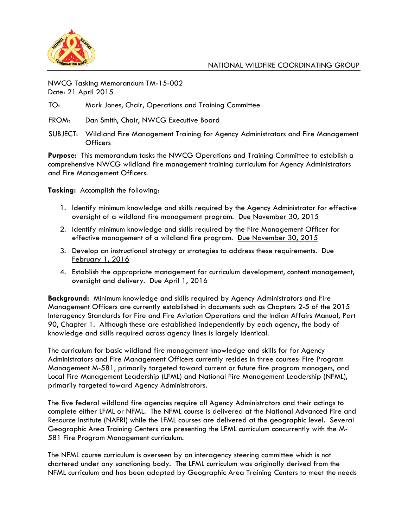

NWCG Tasking Memorandum TM-15-002 Date: 21 April 2015

TO: Mark Jones, Chair, Operations and Training Committee

FROM: Dan Smith, Chair, NWCG Executive Board

SUBJECT: Wildland Fire Management Training for Agency Administrators and Fire Management Officers

**Purpose:** This memorandum tasks the NWCG Operations and Training Committee to establish a comprehensive NWCG wildland fire management training curriculum for Agency Administrators and Fire Management Officers.

**Tasking:** Accomplish the following:

- 1. Identify minimum knowledge and skills required by the Agency Administrator for effective oversight of a wildland fire management program. Due November 30, 2015
- 2. Identify minimum knowledge and skills required by the Fire Management Officer for effective management of a wildland fire program. Due November 30, 2015
- 3. Develop an instructional strategy or strategies to address these requirements. Due February 1, 2016
- 4. Establish the appropriate management for curriculum development, content management, oversight and delivery. Due April 1, 2016

**Background:** Minimum knowledge and skills required by Agency Administrators and Fire Management Officers are currently established in documents such as Chapters 2-5 of the 2015 Interagency Standards for Fire and Fire Aviation Operations and the Indian Affairs Manual, Part 90, Chapter 1. Although these are established independently by each agency, the body of knowledge and skills required across agency lines is largely identical.

The curriculum for basic wildland fire management knowledge and skills for for Agency Administrators and Fire Management Officers currently resides in three courses: Fire Program Management M-581, primarily targeted toward current or future fire program managers, and Local Fire Management Leadership (LFML) and National Fire Management Leadership (NFML), primarily targeted toward Agency Administrators.

The five federal wildland fire agencies require all Agency Administrators and their actings to complete either LFML or NFML. The NFML course is delivered at the National Advanced Fire and Resource Institute (NAFRI) while the LFML courses are delivered at the geographic level. Several Geographic Area Training Centers are presenting the LFML curriculum concurrently with the M-581 Fire Program Management curriculum.

The NFML course curriculum is overseen by an interagency steering committee which is not chartered under any sanctioning body. The LFML curriculum was originally derived from the NFML curriculum and has been adapted by Geographic Area Training Centers to meet the needs